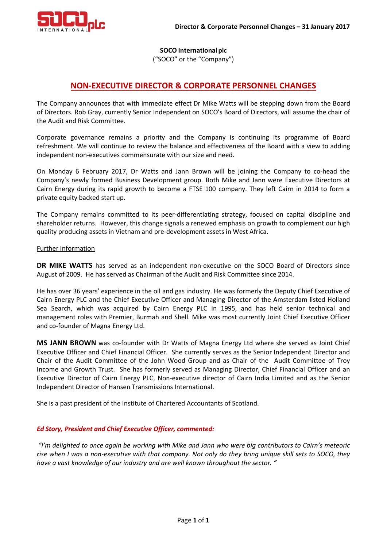

**SOCO International plc**

("SOCO" or the "Company")

# **NON-EXECUTIVE DIRECTOR & CORPORATE PERSONNEL CHANGES**

The Company announces that with immediate effect Dr Mike Watts will be stepping down from the Board of Directors. Rob Gray, currently Senior Independent on SOCO's Board of Directors, will assume the chair of the Audit and Risk Committee.

Corporate governance remains a priority and the Company is continuing its programme of Board refreshment. We will continue to review the balance and effectiveness of the Board with a view to adding independent non-executives commensurate with our size and need.

On Monday 6 February 2017, Dr Watts and Jann Brown will be joining the Company to co-head the Company's newly formed Business Development group. Both Mike and Jann were Executive Directors at Cairn Energy during its rapid growth to become a FTSE 100 company. They left Cairn in 2014 to form a private equity backed start up.

The Company remains committed to its peer-differentiating strategy, focused on capital discipline and shareholder returns. However, this change signals a renewed emphasis on growth to complement our high quality producing assets in Vietnam and pre-development assets in West Africa.

### Further Information

**DR MIKE WATTS** has served as an independent non-executive on the SOCO Board of Directors since August of 2009. He has served as Chairman of the Audit and Risk Committee since 2014.

He has over 36 years' experience in the oil and gas industry. He was formerly the Deputy Chief Executive of Cairn Energy PLC and the Chief Executive Officer and Managing Director of the Amsterdam listed Holland Sea Search, which was acquired by Cairn Energy PLC in 1995, and has held senior technical and management roles with Premier, Burmah and Shell. Mike was most currently Joint Chief Executive Officer and co-founder of Magna Energy Ltd.

**MS JANN BROWN** was co-founder with Dr Watts of Magna Energy Ltd where she served as Joint Chief Executive Officer and Chief Financial Officer. She currently serves as the Senior Independent Director and Chair of the Audit Committee of the John Wood Group and as Chair of the Audit Committee of Troy Income and Growth Trust. She has formerly served as Managing Director, Chief Financial Officer and an Executive Director of Cairn Energy PLC, Non-executive director of Cairn India Limited and as the Senior Independent Director of Hansen Transmissions International.

She is a past president of the Institute of Chartered Accountants of Scotland.

### *Ed Story, President and Chief Executive Officer, commented:*

*"I'm delighted to once again be working with Mike and Jann who were big contributors to Cairn's meteoric rise when I was a non-executive with that company. Not only do they bring unique skill sets to SOCO, they have a vast knowledge of our industry and are well known throughout the sector. "*